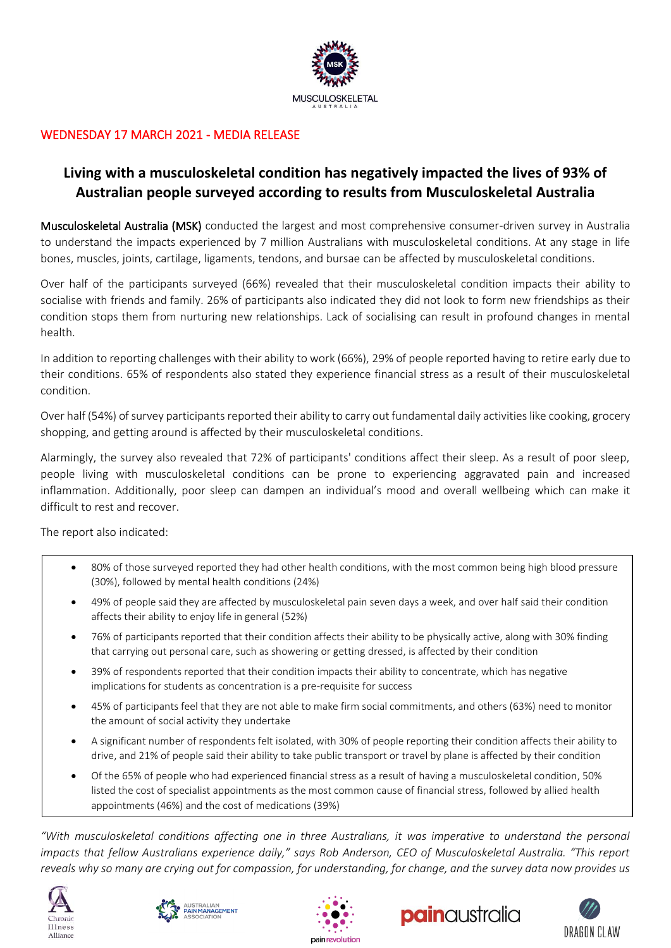

## WEDNESDAY 17 MARCH 2021 - MEDIA RELEASE

# **Living with a musculoskeletal condition has negatively impacted the lives of 93% of Australian people surveyed according to results from Musculoskeletal Australia**

Musculoskeletal Australia (MSK) conducted the largest and most comprehensive consumer-driven survey in Australia to understand the impacts experienced by 7 million Australians with musculoskeletal conditions. At any stage in life bones, muscles, joints, cartilage, ligaments, tendons, and bursae can be affected by musculoskeletal conditions.

Over half of the participants surveyed (66%) revealed that their musculoskeletal condition impacts their ability to socialise with friends and family. 26% of participants also indicated they did not look to form new friendships as their condition stops them from nurturing new relationships. Lack of socialising can result in profound changes in mental health.

In addition to reporting challenges with their ability to work (66%), 29% of people reported having to retire early due to their conditions. 65% of respondents also stated they experience financial stress as a result of their musculoskeletal condition.

Over half (54%) of survey participants reported their ability to carry out fundamental daily activities like cooking, grocery shopping, and getting around is affected by their musculoskeletal conditions.

Alarmingly, the survey also revealed that 72% of participants' conditions affect their sleep. As a result of poor sleep, people living with musculoskeletal conditions can be prone to experiencing aggravated pain and increased inflammation. Additionally, poor sleep can dampen an individual's mood and overall wellbeing which can make it difficult to rest and recover.

The report also indicated:

- 80% of those surveyed reported they had other health conditions, with the most common being high blood pressure (30%), followed by mental health conditions (24%)
- 49% of people said they are affected by musculoskeletal pain seven days a week, and over half said their condition affects their ability to enjoy life in general (52%)
- 76% of participants reported that their condition affects their ability to be physically active, along with 30% finding that carrying out personal care, such as showering or getting dressed, is affected by their condition
- 39% of respondents reported that their condition impacts their ability to concentrate, which has negative implications for students as concentration is a pre-requisite for success
- 45% of participants feel that they are not able to make firm social commitments, and others (63%) need to monitor the amount of social activity they undertake
- A significant number of respondents felt isolated, with 30% of people reporting their condition affects their ability to drive, and 21% of people said their ability to take public transport or travel by plane is affected by their condition
- Of the 65% of people who had experienced financial stress as a result of having a musculoskeletal condition, 50% listed the cost of specialist appointments as the most common cause of financial stress, followed by allied health appointments (46%) and the cost of medications (39%)

*"With musculoskeletal conditions affecting one in three Australians, it was imperative to understand the personal impacts that fellow Australians experience daily," says Rob Anderson, CEO of Musculoskeletal Australia. "This report reveals why so many are crying out for compassion, for understanding, for change, and the survey data now provides us* 









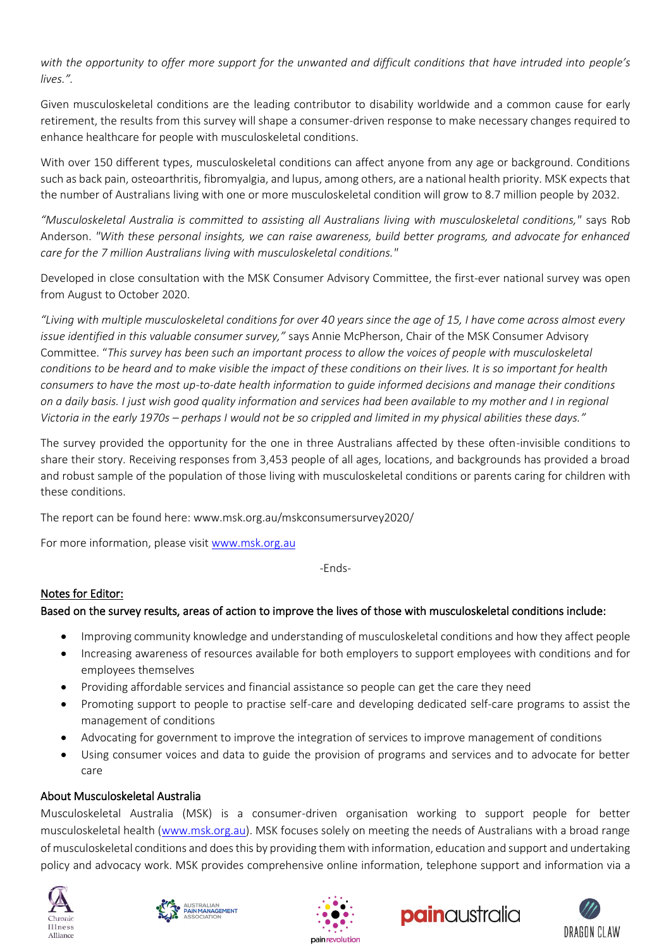*with the opportunity to offer more support for the unwanted and difficult conditions that have intruded into people's lives.".*

Given musculoskeletal conditions are the leading contributor to disability worldwide and a common cause for early retirement, the results from this survey will shape a consumer-driven response to make necessary changes required to enhance healthcare for people with musculoskeletal conditions.

With over 150 different types, musculoskeletal conditions can affect anyone from any age or background. Conditions such as back pain, osteoarthritis, fibromyalgia, and lupus, among others, are a national health priority. MSK expects that the number of Australians living with one or more musculoskeletal condition will grow to 8.7 million people by 2032.

*"Musculoskeletal Australia is committed to assisting all Australians living with musculoskeletal conditions,"* says Rob Anderson. *"With these personal insights, we can raise awareness, build better programs, and advocate for enhanced care for the 7 million Australians living with musculoskeletal conditions."*

Developed in close consultation with the MSK Consumer Advisory Committee, the first-ever national survey was open from August to October 2020.

*"Living with multiple musculoskeletal conditions for over 40 years since the age of 15, I have come across almost every issue identified in this valuable consumer survey,"* says Annie McPherson, Chair of the MSK Consumer Advisory Committee. "*This survey has been such an important process to allow the voices of people with musculoskeletal conditions to be heard and to make visible the impact of these conditions on their lives. It is so important for health consumers to have the most up-to-date health information to guide informed decisions and manage their conditions on a daily basis. I just wish good quality information and services had been available to my mother and I in regional Victoria in the early 1970s – perhaps I would not be so crippled and limited in my physical abilities these days."*

The survey provided the opportunity for the one in three Australians affected by these often-invisible conditions to share their story. Receiving responses from 3,453 people of all ages, locations, and backgrounds has provided a broad and robust sample of the population of those living with musculoskeletal conditions or parents caring for children with these conditions.

The report can be found here: www.msk.org.au/mskconsumersurvey2020/

For more information, please visi[t www.msk.org.au](http://www.msk.org.au/)

-Ends-

### Notes for Editor:

### Based on the survey results, areas of action to improve the lives of those with musculoskeletal conditions include:

- Improving community knowledge and understanding of musculoskeletal conditions and how they affect people
- Increasing awareness of resources available for both employers to support employees with conditions and for employees themselves
- Providing affordable services and financial assistance so people can get the care they need
- Promoting support to people to practise self-care and developing dedicated self-care programs to assist the management of conditions
- Advocating for government to improve the integration of services to improve management of conditions
- Using consumer voices and data to guide the provision of programs and services and to advocate for better care

### About Musculoskeletal Australia

Musculoskeletal Australia (MSK) is a consumer-driven organisation working to support people for better musculoskeletal health [\(www.msk.org.au\)](http://www.msk.org.au/). MSK focuses solely on meeting the needs of Australians with a broad range of musculoskeletal conditions and does this by providing them with information, education and support and undertaking policy and advocacy work. MSK provides comprehensive online information, telephone support and information via a